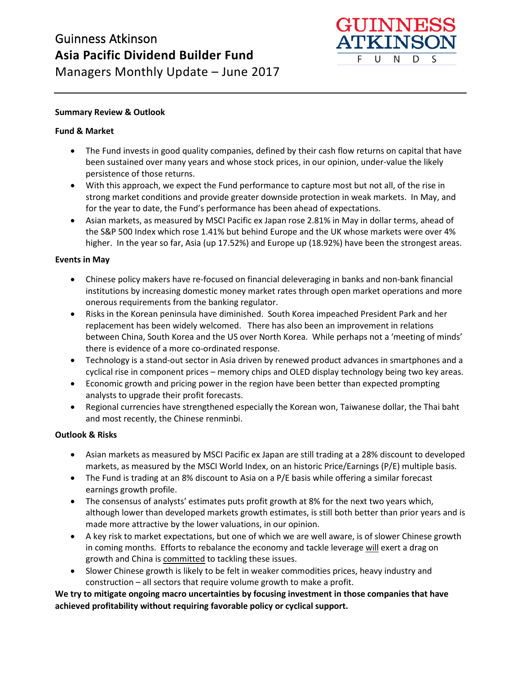

#### **Summary Review & Outlook**

#### **Fund & Market**

- The Fund invests in good quality companies, defined by their cash flow returns on capital that have been sustained over many years and whose stock prices, in our opinion, under-value the likely persistence of those returns.
- With this approach, we expect the Fund performance to capture most but not all, of the rise in strong market conditions and provide greater downside protection in weak markets. In May, and for the year to date, the Fund's performance has been ahead of expectations.
- Asian markets, as measured by MSCI Pacific ex Japan rose 2.81% in May in dollar terms, ahead of the S&P 500 Index which rose 1.41% but behind Europe and the UK whose markets were over 4% higher. In the year so far, Asia (up 17.52%) and Europe up (18.92%) have been the strongest areas.

#### **Events in May**

- Chinese policy makers have re-focused on financial deleveraging in banks and non-bank financial institutions by increasing domestic money market rates through open market operations and more onerous requirements from the banking regulator.
- Risks in the Korean peninsula have diminished. South Korea impeached President Park and her replacement has been widely welcomed. There has also been an improvement in relations between China, South Korea and the US over North Korea. While perhaps not a 'meeting of minds' there is evidence of a more co-ordinated response.
- Technology is a stand-out sector in Asia driven by renewed product advances in smartphones and a cyclical rise in component prices – memory chips and OLED display technology being two key areas.
- Economic growth and pricing power in the region have been better than expected prompting analysts to upgrade their profit forecasts.
- Regional currencies have strengthened especially the Korean won, Taiwanese dollar, the Thai baht and most recently, the Chinese renminbi.

#### **Outlook & Risks**

- Asian markets as measured by MSCI Pacific ex Japan are still trading at a 28% discount to developed markets, as measured by the MSCI World Index, on an historic Price/Earnings (P/E) multiple basis.
- The Fund is trading at an 8% discount to Asia on a P/E basis while offering a similar forecast earnings growth profile.
- The consensus of analysts' estimates puts profit growth at 8% for the next two years which, although lower than developed markets growth estimates, is still both better than prior years and is made more attractive by the lower valuations, in our opinion.
- A key risk to market expectations, but one of which we are well aware, is of slower Chinese growth in coming months. Efforts to rebalance the economy and tackle leverage will exert a drag on growth and China is committed to tackling these issues.
- Slower Chinese growth is likely to be felt in weaker commodities prices, heavy industry and construction – all sectors that require volume growth to make a profit.

**We try to mitigate ongoing macro uncertainties by focusing investment in those companies that have achieved profitability without requiring favorable policy or cyclical support.**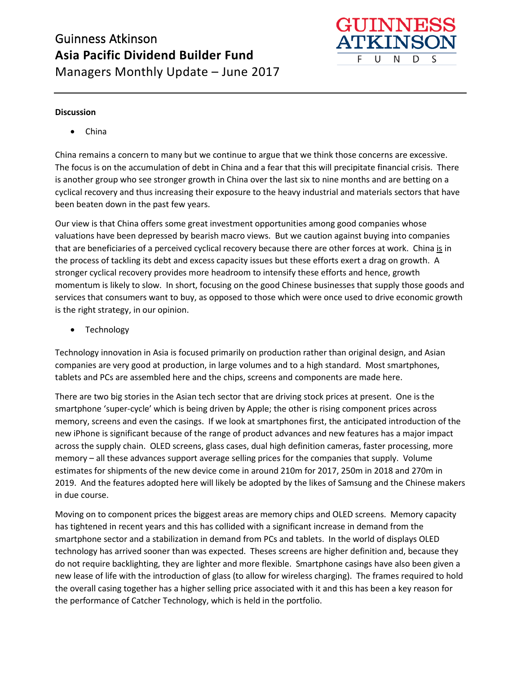

#### **Discussion**

• China

China remains a concern to many but we continue to argue that we think those concerns are excessive. The focus is on the accumulation of debt in China and a fear that this will precipitate financial crisis. There is another group who see stronger growth in China over the last six to nine months and are betting on a cyclical recovery and thus increasing their exposure to the heavy industrial and materials sectors that have been beaten down in the past few years.

Our view is that China offers some great investment opportunities among good companies whose valuations have been depressed by bearish macro views. But we caution against buying into companies that are beneficiaries of a perceived cyclical recovery because there are other forces at work. China is in the process of tackling its debt and excess capacity issues but these efforts exert a drag on growth. A stronger cyclical recovery provides more headroom to intensify these efforts and hence, growth momentum is likely to slow. In short, focusing on the good Chinese businesses that supply those goods and services that consumers want to buy, as opposed to those which were once used to drive economic growth is the right strategy, in our opinion.

• Technology

Technology innovation in Asia is focused primarily on production rather than original design, and Asian companies are very good at production, in large volumes and to a high standard. Most smartphones, tablets and PCs are assembled here and the chips, screens and components are made here.

There are two big stories in the Asian tech sector that are driving stock prices at present. One is the smartphone 'super-cycle' which is being driven by Apple; the other is rising component prices across memory, screens and even the casings. If we look at smartphones first, the anticipated introduction of the new iPhone is significant because of the range of product advances and new features has a major impact across the supply chain. OLED screens, glass cases, dual high definition cameras, faster processing, more memory – all these advances support average selling prices for the companies that supply. Volume estimates for shipments of the new device come in around 210m for 2017, 250m in 2018 and 270m in 2019. And the features adopted here will likely be adopted by the likes of Samsung and the Chinese makers in due course.

Moving on to component prices the biggest areas are memory chips and OLED screens. Memory capacity has tightened in recent years and this has collided with a significant increase in demand from the smartphone sector and a stabilization in demand from PCs and tablets. In the world of displays OLED technology has arrived sooner than was expected. Theses screens are higher definition and, because they do not require backlighting, they are lighter and more flexible. Smartphone casings have also been given a new lease of life with the introduction of glass (to allow for wireless charging). The frames required to hold the overall casing together has a higher selling price associated with it and this has been a key reason for the performance of Catcher Technology, which is held in the portfolio.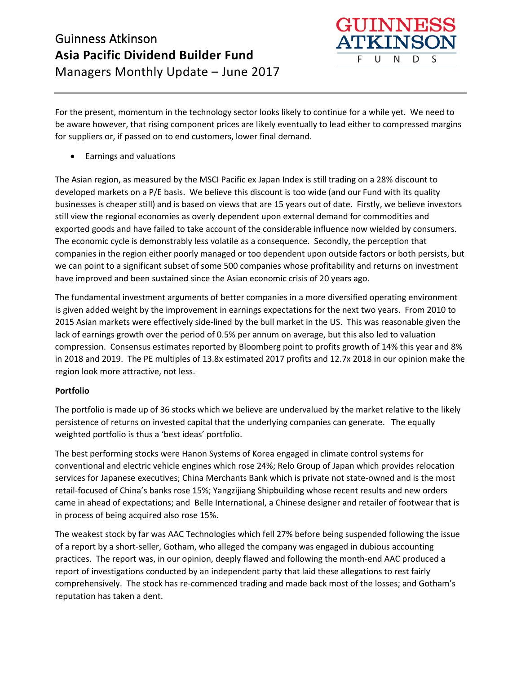

For the present, momentum in the technology sector looks likely to continue for a while yet. We need to be aware however, that rising component prices are likely eventually to lead either to compressed margins for suppliers or, if passed on to end customers, lower final demand.

• Earnings and valuations

The Asian region, as measured by the MSCI Pacific ex Japan Index is still trading on a 28% discount to developed markets on a P/E basis. We believe this discount is too wide (and our Fund with its quality businesses is cheaper still) and is based on views that are 15 years out of date. Firstly, we believe investors still view the regional economies as overly dependent upon external demand for commodities and exported goods and have failed to take account of the considerable influence now wielded by consumers. The economic cycle is demonstrably less volatile as a consequence. Secondly, the perception that companies in the region either poorly managed or too dependent upon outside factors or both persists, but we can point to a significant subset of some 500 companies whose profitability and returns on investment have improved and been sustained since the Asian economic crisis of 20 years ago.

The fundamental investment arguments of better companies in a more diversified operating environment is given added weight by the improvement in earnings expectations for the next two years. From 2010 to 2015 Asian markets were effectively side-lined by the bull market in the US. This was reasonable given the lack of earnings growth over the period of 0.5% per annum on average, but this also led to valuation compression. Consensus estimates reported by Bloomberg point to profits growth of 14% this year and 8% in 2018 and 2019. The PE multiples of 13.8x estimated 2017 profits and 12.7x 2018 in our opinion make the region look more attractive, not less.

### **Portfolio**

The portfolio is made up of 36 stocks which we believe are undervalued by the market relative to the likely persistence of returns on invested capital that the underlying companies can generate. The equally weighted portfolio is thus a 'best ideas' portfolio.

The best performing stocks were Hanon Systems of Korea engaged in climate control systems for conventional and electric vehicle engines which rose 24%; Relo Group of Japan which provides relocation services for Japanese executives; China Merchants Bank which is private not state-owned and is the most retail-focused of China's banks rose 15%; Yangzijiang Shipbuilding whose recent results and new orders came in ahead of expectations; and Belle International, a Chinese designer and retailer of footwear that is in process of being acquired also rose 15%.

The weakest stock by far was AAC Technologies which fell 27% before being suspended following the issue of a report by a short-seller, Gotham, who alleged the company was engaged in dubious accounting practices. The report was, in our opinion, deeply flawed and following the month-end AAC produced a report of investigations conducted by an independent party that laid these allegations to rest fairly comprehensively. The stock has re-commenced trading and made back most of the losses; and Gotham's reputation has taken a dent.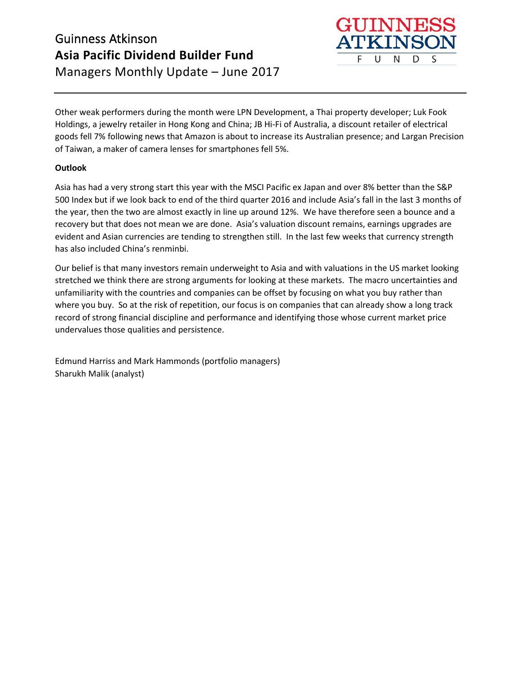

Other weak performers during the month were LPN Development, a Thai property developer; Luk Fook Holdings, a jewelry retailer in Hong Kong and China; JB Hi-Fi of Australia, a discount retailer of electrical goods fell 7% following news that Amazon is about to increase its Australian presence; and Largan Precision of Taiwan, a maker of camera lenses for smartphones fell 5%.

### **Outlook**

Asia has had a very strong start this year with the MSCI Pacific ex Japan and over 8% better than the S&P 500 Index but if we look back to end of the third quarter 2016 and include Asia's fall in the last 3 months of the year, then the two are almost exactly in line up around 12%. We have therefore seen a bounce and a recovery but that does not mean we are done. Asia's valuation discount remains, earnings upgrades are evident and Asian currencies are tending to strengthen still. In the last few weeks that currency strength has also included China's renminbi.

Our belief is that many investors remain underweight to Asia and with valuations in the US market looking stretched we think there are strong arguments for looking at these markets. The macro uncertainties and unfamiliarity with the countries and companies can be offset by focusing on what you buy rather than where you buy. So at the risk of repetition, our focus is on companies that can already show a long track record of strong financial discipline and performance and identifying those whose current market price undervalues those qualities and persistence.

Edmund Harriss and Mark Hammonds (portfolio managers) Sharukh Malik (analyst)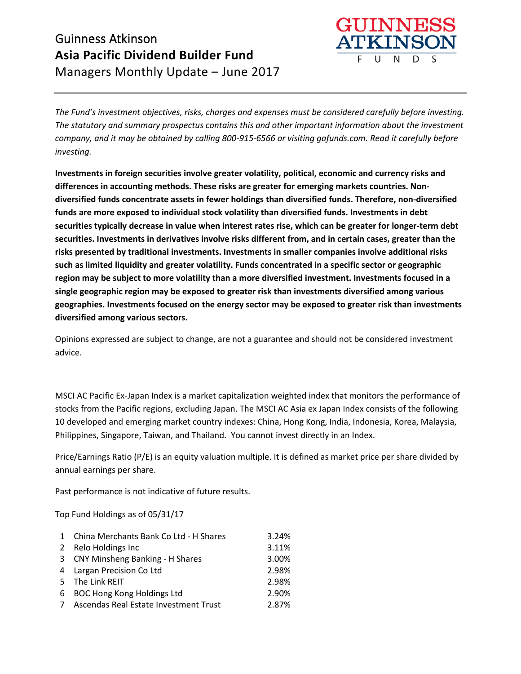

*The Fund's investment objectives, risks, charges and expenses must be considered carefully before investing. The statutory and summary prospectus contains this and other important information about the investment company, and it may be obtained by calling 800-915-6566 or visiting gafunds.com. Read it carefully before investing.*

**Investments in foreign securities involve greater volatility, political, economic and currency risks and differences in accounting methods. These risks are greater for emerging markets countries. Nondiversified funds concentrate assets in fewer holdings than diversified funds. Therefore, non-diversified funds are more exposed to individual stock volatility than diversified funds. Investments in debt securities typically decrease in value when interest rates rise, which can be greater for longer-term debt securities. Investments in derivatives involve risks different from, and in certain cases, greater than the risks presented by traditional investments. Investments in smaller companies involve additional risks such as limited liquidity and greater volatility. Funds concentrated in a specific sector or geographic region may be subject to more volatility than a more diversified investment. Investments focused in a single geographic region may be exposed to greater risk than investments diversified among various geographies. Investments focused on the energy sector may be exposed to greater risk than investments diversified among various sectors.**

Opinions expressed are subject to change, are not a guarantee and should not be considered investment advice.

MSCI AC Pacific Ex-Japan Index is a market capitalization weighted index that monitors the performance of stocks from the Pacific regions, excluding Japan. The MSCI AC Asia ex Japan Index consists of the following 10 developed and emerging market country indexes: China, Hong Kong, India, Indonesia, Korea, Malaysia, Philippines, Singapore, Taiwan, and Thailand. You cannot invest directly in an Index.

Price/Earnings Ratio (P/E) is an equity valuation multiple. It is defined as market price per share divided by annual earnings per share.

Past performance is not indicative of future results.

Top Fund Holdings as of 05/31/17

|   | 1 China Merchants Bank Co Ltd - H Shares | 3.24% |
|---|------------------------------------------|-------|
|   | 2 Relo Holdings Inc                      | 3.11% |
|   | 3 CNY Minsheng Banking - H Shares        | 3.00% |
|   | 4 Largan Precision Co Ltd                | 2.98% |
|   | 5 The Link REIT                          | 2.98% |
| 6 | <b>BOC Hong Kong Holdings Ltd</b>        | 2.90% |
|   | Ascendas Real Estate Investment Trust    | 2.87% |